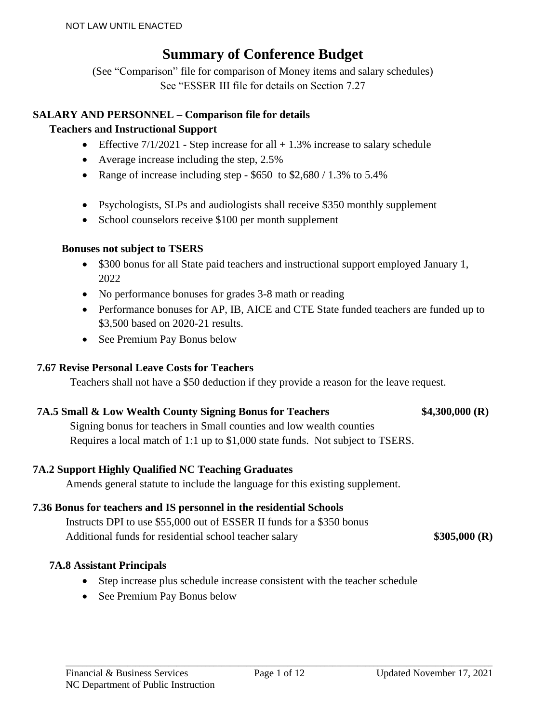### **Summary of Conference Budget**

(See "Comparison" file for comparison of Money items and salary schedules) See "ESSER III file for details on Section 7.27

### **SALARY AND PERSONNEL – Comparison file for details**

### **Teachers and Instructional Support**

- Effective  $7/1/2021$  Step increase for all  $+1.3\%$  increase to salary schedule
- Average increase including the step, 2.5%
- Range of increase including step  $$650$  to  $$2,680 / 1.3\%$  to  $5.4\%$
- Psychologists, SLPs and audiologists shall receive \$350 monthly supplement
- School counselors receive \$100 per month supplement

### **Bonuses not subject to TSERS**

- \$300 bonus for all State paid teachers and instructional support employed January 1, 2022
- No performance bonuses for grades 3-8 math or reading
- Performance bonuses for AP, IB, AICE and CTE State funded teachers are funded up to \$3,500 based on 2020-21 results.
- See Premium Pay Bonus below

### **7.67 Revise Personal Leave Costs for Teachers**

Teachers shall not have a \$50 deduction if they provide a reason for the leave request.

### **7A.5 Small & Low Wealth County Signing Bonus for Teachers \$4,300,000 (R)**

Signing bonus for teachers in Small counties and low wealth counties Requires a local match of 1:1 up to \$1,000 state funds. Not subject to TSERS.

### **7A.2 Support Highly Qualified NC Teaching Graduates**

Amends general statute to include the language for this existing supplement.

### **7.36 Bonus for teachers and IS personnel in the residential Schools**

Instructs DPI to use \$55,000 out of ESSER II funds for a \$350 bonus Additional funds for residential school teacher salary **\$305,000 (R)** 

### **7A.8 Assistant Principals**

- Step increase plus schedule increase consistent with the teacher schedule
- See Premium Pay Bonus below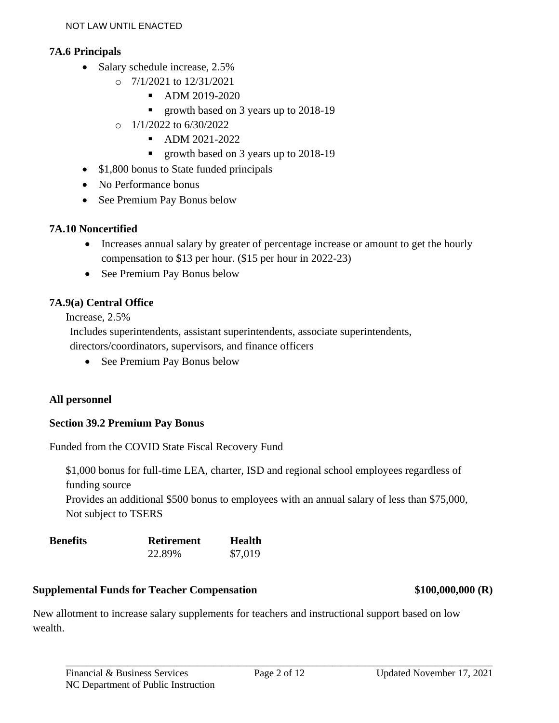### **7A.6 Principals**

- Salary schedule increase, 2.5%
	- $\circ$  7/1/2021 to 12/31/2021
		- ADM 2019-2020
		- growth based on 3 years up to 2018-19
	- $O = 1/1/2022$  to  $6/30/2022$ 
		- ADM 2021-2022
		- growth based on 3 years up to 2018-19
- \$1,800 bonus to State funded principals
- No Performance bonus
- See Premium Pay Bonus below

### **7A.10 Noncertified**

- Increases annual salary by greater of percentage increase or amount to get the hourly compensation to \$13 per hour. (\$15 per hour in 2022-23)
- See Premium Pay Bonus below

### **7A.9(a) Central Office**

Increase, 2.5%

Includes superintendents, assistant superintendents, associate superintendents, directors/coordinators, supervisors, and finance officers

• See Premium Pay Bonus below

### **All personnel**

### **Section 39.2 Premium Pay Bonus**

Funded from the COVID State Fiscal Recovery Fund

\$1,000 bonus for full-time LEA, charter, ISD and regional school employees regardless of funding source

Provides an additional \$500 bonus to employees with an annual salary of less than \$75,000, Not subject to TSERS

| <b>Benefits</b> | <b>Retirement</b> | Health  |
|-----------------|-------------------|---------|
|                 | 22.89%            | \$7,019 |

### **Supplemental Funds for Teacher Compensation \$100,000,000 (R)**

New allotment to increase salary supplements for teachers and instructional support based on low wealth.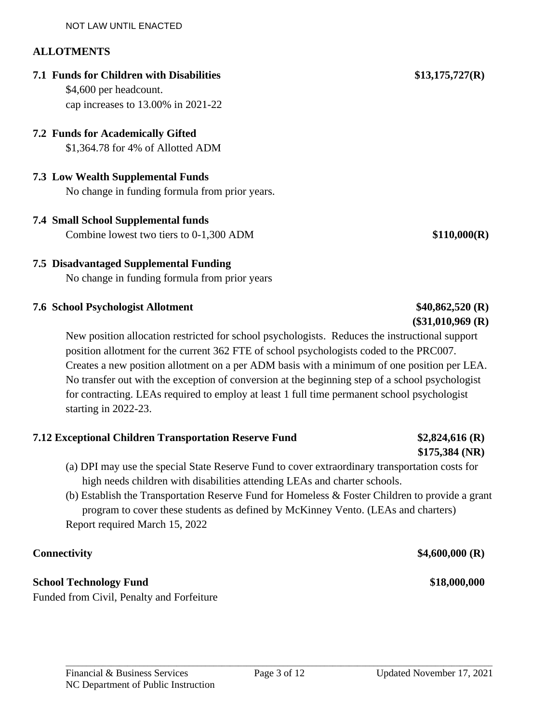### **ALLOTMENTS**

**7.1 Funds for Children with Disabilities \$13,175,727(R)**

\$4,600 per headcount. cap increases to 13.00% in 2021-22

### **7.2 Funds for Academically Gifted**

\$1,364.78 for 4% of Allotted ADM

### **7.3 Low Wealth Supplemental Funds**

No change in funding formula from prior years.

**7.4 Small School Supplemental funds** Combine lowest two tiers to 0-1,300 ADM **\$110,000(R)**

### **7.5 Disadvantaged Supplemental Funding** No change in funding formula from prior years

### **7.6 School Psychologist Allotment \$40,862,520 (R)**

New position allocation restricted for school psychologists. Reduces the instructional support position allotment for the current 362 FTE of school psychologists coded to the PRC007. Creates a new position allotment on a per ADM basis with a minimum of one position per LEA. No transfer out with the exception of conversion at the beginning step of a school psychologist for contracting. LEAs required to employ at least 1 full time permanent school psychologist starting in 2022-23.

### **7.12 Exceptional Children Transportation Reserve Fund \$2,824,616 (R)**

- (a) DPI may use the special State Reserve Fund to cover extraordinary transportation costs for high needs children with disabilities attending LEAs and charter schools.
- (b) Establish the Transportation Reserve Fund for Homeless & Foster Children to provide a grant program to cover these students as defined by McKinney Vento. (LEAs and charters) Report required March 15, 2022

### **Connectivity \$4,600,000 (R)**

### **School Technology Fund \$18,000,000**

Funded from Civil, Penalty and Forfeiture

**(\$31,010,969 (R)**

# **\$175,384 (NR)**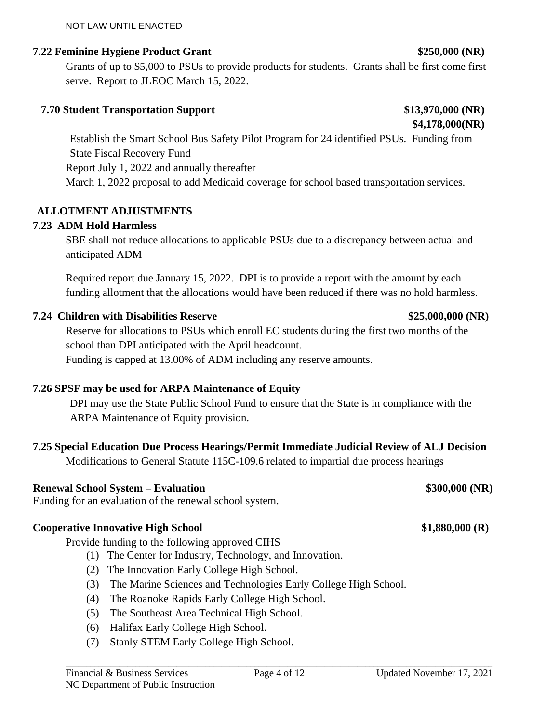### NOT LAW UNTIL ENACTED

### **7.22 Feminine Hygiene Product Grant \$250,000 (NR)**

Grants of up to \$5,000 to PSUs to provide products for students. Grants shall be first come first serve. Report to JLEOC March 15, 2022.

### **7.70 Student Transportation Support \$13,970,000 (NR)**

Establish the Smart School Bus Safety Pilot Program for 24 identified PSUs. Funding from State Fiscal Recovery Fund Report July 1, 2022 and annually thereafter March 1, 2022 proposal to add Medicaid coverage for school based transportation services.

### **ALLOTMENT ADJUSTMENTS**

### **7.23 ADM Hold Harmless**

SBE shall not reduce allocations to applicable PSUs due to a discrepancy between actual and anticipated ADM

Required report due January 15, 2022. DPI is to provide a report with the amount by each funding allotment that the allocations would have been reduced if there was no hold harmless.

### **7.24 Children with Disabilities Reserve \$25,000,000 (NR)**

Reserve for allocations to PSUs which enroll EC students during the first two months of the school than DPI anticipated with the April headcount.

Funding is capped at 13.00% of ADM including any reserve amounts.

### **7.26 SPSF may be used for ARPA Maintenance of Equity**

DPI may use the State Public School Fund to ensure that the State is in compliance with the ARPA Maintenance of Equity provision.

### **7.25 Special Education Due Process Hearings/Permit Immediate Judicial Review of ALJ Decision**

Modifications to General Statute 115C-109.6 related to impartial due process hearings

### **Renewal School System – Evaluation \$300,000 (NR)**

Funding for an evaluation of the renewal school system.

### **Cooperative Innovative High School \$1,880,000 (R)**

Provide funding to the following approved CIHS

- (1) The Center for Industry, Technology, and Innovation.
- (2) The Innovation Early College High School.
- (3) The Marine Sciences and Technologies Early College High School.
- (4) The Roanoke Rapids Early College High School.
- (5) The Southeast Area Technical High School.
- (6) Halifax Early College High School.
- (7) Stanly STEM Early College High School.

**\$4,178,000(NR)**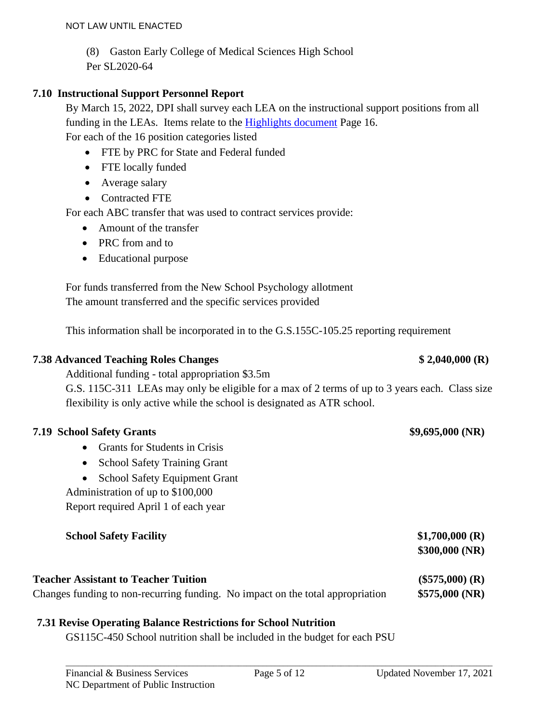- (8) Gaston Early College of Medical Sciences High School
- Per SL2020-64

### **7.10 Instructional Support Personnel Report**

By March 15, 2022, DPI shall survey each LEA on the instructional support positions from all funding in the LEAs. Items relate to the [Highlights document](https://www.dpi.nc.gov/media/10454/download?attachment) Page 16. For each of the 16 position categories listed

- FTE by PRC for State and Federal funded
- FTE locally funded
- Average salary
- Contracted FTE

For each ABC transfer that was used to contract services provide:

- Amount of the transfer
- PRC from and to
- Educational purpose

For funds transferred from the New School Psychology allotment The amount transferred and the specific services provided

This information shall be incorporated in to the G.S.155C-105.25 reporting requirement

### **7.38 Advanced Teaching Roles Changes \$ 2,040,000 (R)**

Additional funding - total appropriation \$3.5m G.S. 115C-311 LEAs may only be eligible for a max of 2 terms of up to 3 years each. Class size flexibility is only active while the school is designated as ATR school.

### **7.19 School Safety Grants \$9,695,000 (NR)**

- Grants for Students in Crisis
- School Safety Training Grant
- School Safety Equipment Grant

Administration of up to \$100,000

Report required April 1 of each year

| <b>School Safety Facility</b>               | \$1,700,000 (R)<br>\$300,000(NR) |
|---------------------------------------------|----------------------------------|
| <b>Teacher Assistant to Teacher Tuition</b> | $(\$575,000)$ (R)                |

### Changes funding to non-recurring funding. No impact on the total appropriation **\$575,000 (NR)**

### **7.31 Revise Operating Balance Restrictions for School Nutrition**

GS115C-450 School nutrition shall be included in the budget for each PSU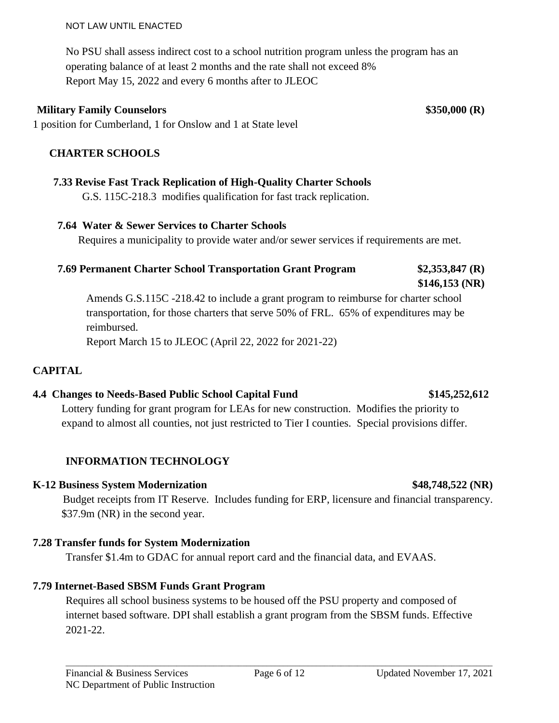### NOT LAW UNTIL ENACTED

No PSU shall assess indirect cost to a school nutrition program unless the program has an operating balance of at least 2 months and the rate shall not exceed 8% Report May 15, 2022 and every 6 months after to JLEOC

### **Military Family Counselors \$350,000 (R)**

1 position for Cumberland, 1 for Onslow and 1 at State level

### **CHARTER SCHOOLS**

### **7.33 Revise Fast Track Replication of High-Quality Charter Schools**

G.S. 115C-218.3 modifies qualification for fast track replication.

### **7.64 Water & Sewer Services to Charter Schools**

Requires a municipality to provide water and/or sewer services if requirements are met.

### **7.69 Permanent Charter School Transportation Grant Program \$2,353,847 (R)**

### **\$146,153 (NR)**

Amends G.S.115C -218.42 to include a grant program to reimburse for charter school transportation, for those charters that serve 50% of FRL. 65% of expenditures may be reimbursed.

Report March 15 to JLEOC (April 22, 2022 for 2021-22)

### **CAPITAL**

### **4.4 Changes to Needs-Based Public School Capital Fund \$145,252,612**

Lottery funding for grant program for LEAs for new construction. Modifies the priority to expand to almost all counties, not just restricted to Tier I counties. Special provisions differ.

### **INFORMATION TECHNOLOGY**

### **K-12 Business System Modernization \$48,748,522 (NR)**

Budget receipts from IT Reserve. Includes funding for ERP, licensure and financial transparency. \$37.9m (NR) in the second year.

### **7.28 Transfer funds for System Modernization**

Transfer \$1.4m to GDAC for annual report card and the financial data, and EVAAS.

### **7.79 Internet-Based SBSM Funds Grant Program**

Requires all school business systems to be housed off the PSU property and composed of internet based software. DPI shall establish a grant program from the SBSM funds. Effective 2021-22.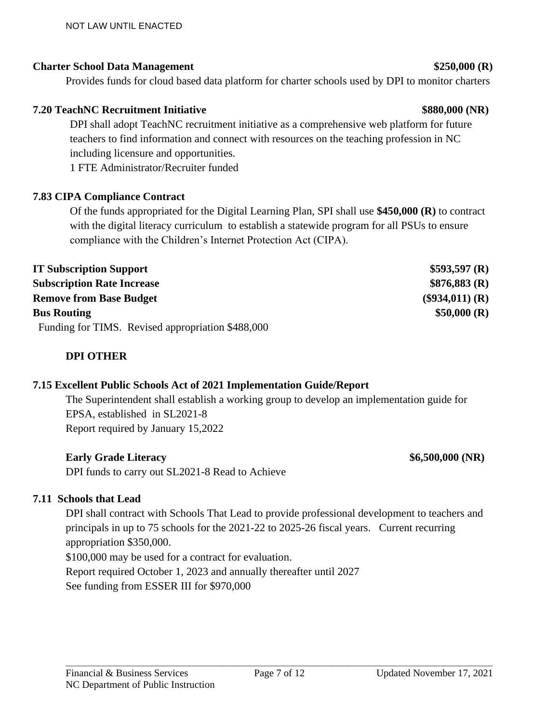### **Charter School Data Management \$250,000 (R)**

Provides funds for cloud based data platform for charter schools used by DPI to monitor charters

### **7.20 TeachNC Recruitment Initiative \$880,000 (NR)**

DPI shall adopt TeachNC recruitment initiative as a comprehensive web platform for future teachers to find information and connect with resources on the teaching profession in NC including licensure and opportunities.

1 FTE Administrator/Recruiter funded

### **7.83 CIPA Compliance Contract**

Of the funds appropriated for the Digital Learning Plan, SPI shall use **\$450,000 (R)** to contract with the digital literacy curriculum to establish a statewide program for all PSUs to ensure compliance with the Children's Internet Protection Act (CIPA).

| <b>IT Subscription Support</b>                    | \$593,597(R)      |
|---------------------------------------------------|-------------------|
| <b>Subscription Rate Increase</b>                 | \$876,883(R)      |
| <b>Remove from Base Budget</b>                    | $(\$934,011)$ (R) |
| <b>Bus Routing</b>                                | \$50,000 (R)      |
| Funding for TIMS. Revised appropriation \$488,000 |                   |

### **DPI OTHER**

### **7.15 Excellent Public Schools Act of 2021 Implementation Guide/Report**

The Superintendent shall establish a working group to develop an implementation guide for EPSA, established in SL2021-8 Report required by January 15,2022

### **Early Grade Literacy \$6,500,000 (NR)**

DPI funds to carry out SL2021-8 Read to Achieve

### **7.11 Schools that Lead**

DPI shall contract with Schools That Lead to provide professional development to teachers and principals in up to 75 schools for the 2021-22 to 2025-26 fiscal years. Current recurring appropriation \$350,000. \$100,000 may be used for a contract for evaluation. Report required October 1, 2023 and annually thereafter until 2027 See funding from ESSER III for \$970,000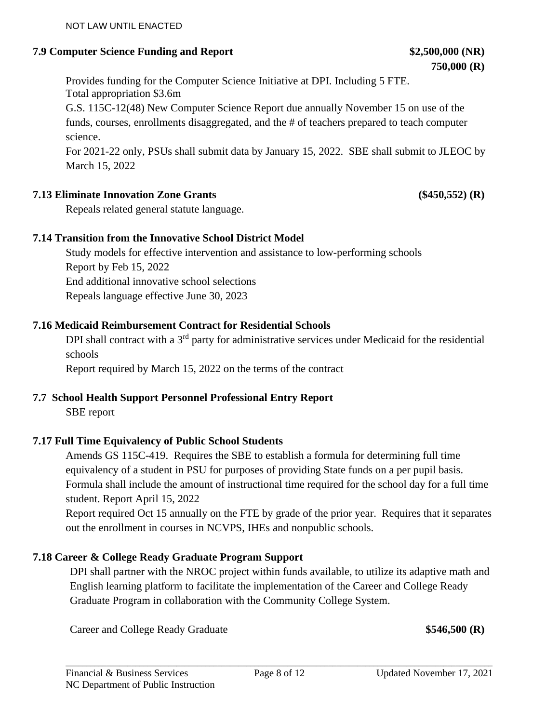### **7.9 Computer Science Funding and Report \$2,500,000 (NR)**

Provides funding for the Computer Science Initiative at DPI. Including 5 FTE. Total appropriation \$3.6m

G.S. 115C-12(48) New Computer Science Report due annually November 15 on use of the funds, courses, enrollments disaggregated, and the # of teachers prepared to teach computer science.

For 2021-22 only, PSUs shall submit data by January 15, 2022. SBE shall submit to JLEOC by March 15, 2022

### **7.13 Eliminate Innovation Zone Grants (\$450,552) (R)**

Repeals related general statute language.

### **7.14 Transition from the Innovative School District Model**

Study models for effective intervention and assistance to low-performing schools Report by Feb 15, 2022 End additional innovative school selections Repeals language effective June 30, 2023

### **7.16 Medicaid Reimbursement Contract for Residential Schools**

DPI shall contract with a 3<sup>rd</sup> party for administrative services under Medicaid for the residential schools

Report required by March 15, 2022 on the terms of the contract

### **7.7 School Health Support Personnel Professional Entry Report**

SBE report

### **7.17 Full Time Equivalency of Public School Students**

Amends GS 115C-419. Requires the SBE to establish a formula for determining full time equivalency of a student in PSU for purposes of providing State funds on a per pupil basis. Formula shall include the amount of instructional time required for the school day for a full time student. Report April 15, 2022

Report required Oct 15 annually on the FTE by grade of the prior year. Requires that it separates out the enrollment in courses in NCVPS, IHEs and nonpublic schools.

### **7.18 Career & College Ready Graduate Program Support**

DPI shall partner with the NROC project within funds available, to utilize its adaptive math and English learning platform to facilitate the implementation of the Career and College Ready Graduate Program in collaboration with the Community College System.

Career and College Ready Graduate **\$546,500 (R)**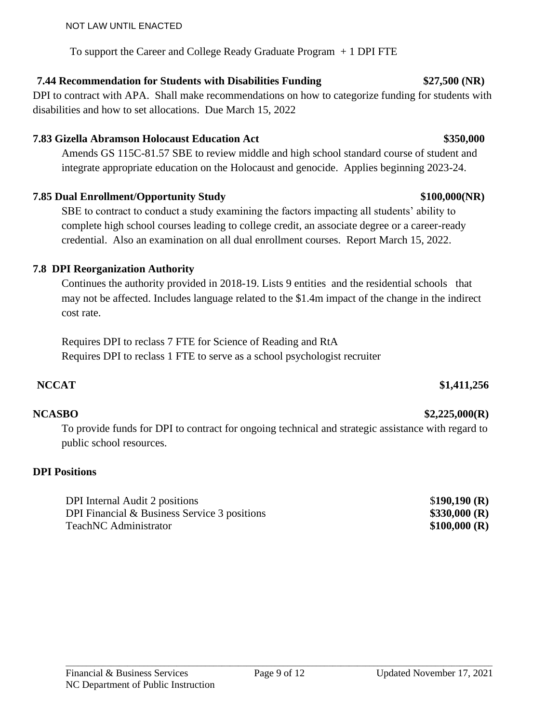### To support the Career and College Ready Graduate Program + 1 DPI FTE

### **7.44 Recommendation for Students with Disabilities Funding \$27,500 (NR)**

DPI to contract with APA. Shall make recommendations on how to categorize funding for students with disabilities and how to set allocations. Due March 15, 2022

### **7.83 Gizella Abramson Holocaust Education Act \$350,000**

Amends GS 115C-81.57 SBE to review middle and high school standard course of student and integrate appropriate education on the Holocaust and genocide. Applies beginning 2023-24.

### **7.85 Dual Enrollment/Opportunity Study \$100,000(NR)**

SBE to contract to conduct a study examining the factors impacting all students' ability to complete high school courses leading to college credit, an associate degree or a career-ready credential. Also an examination on all dual enrollment courses. Report March 15, 2022.

### **7.8 DPI Reorganization Authority**

Continues the authority provided in 2018-19. Lists 9 entities and the residential schools that may not be affected. Includes language related to the \$1.4m impact of the change in the indirect cost rate.

Requires DPI to reclass 7 FTE for Science of Reading and RtA Requires DPI to reclass 1 FTE to serve as a school psychologist recruiter

To provide funds for DPI to contract for ongoing technical and strategic assistance with regard to public school resources.

### **DPI Positions**

DPI Internal Audit 2 positions \$**190,190 (R)** DPI Financial & Business Service 3 positions **\$330,000 (R)** TeachNC Administrator **\$100,000 (R)** 



### **NCCAT \$1,411,256**

### **NCASBO \$2,225,000(R)**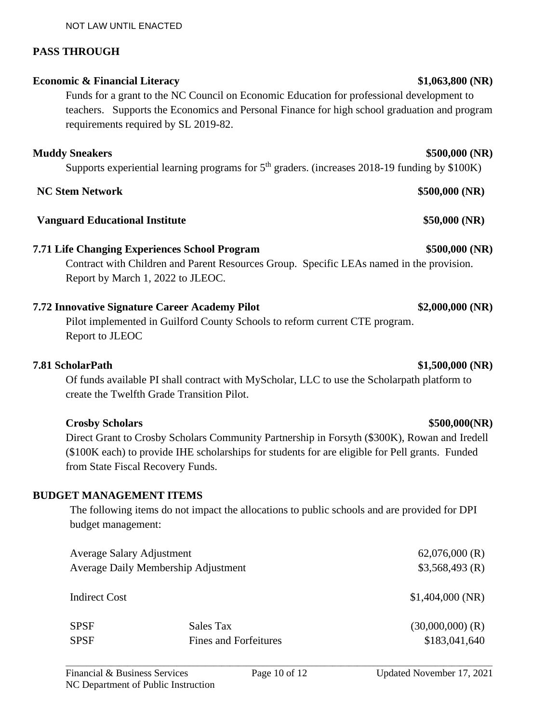# Supports experiential learning programs for  $5<sup>th</sup>$  graders. (increases 2018-19 funding by \$100K)

### **Vanguard Educational Institute \$50,000 (NR)**

### **7.71 Life Changing Experiences School Program \$500,000 (NR)**

Contract with Children and Parent Resources Group. Specific LEAs named in the provision. Report by March 1, 2022 to JLEOC.

### **7.72 Innovative Signature Career Academy Pilot \$2,000,000 (NR)**

Pilot implemented in Guilford County Schools to reform current CTE program. Report to JLEOC

### **7.81 ScholarPath \$1,500,000 (NR)**

Of funds available PI shall contract with MyScholar, LLC to use the Scholarpath platform to create the Twelfth Grade Transition Pilot.

### **Crosby Scholars \$500,000(NR)**

Direct Grant to Crosby Scholars Community Partnership in Forsyth (\$300K), Rowan and Iredell (\$100K each) to provide IHE scholarships for students for are eligible for Pell grants. Funded from State Fiscal Recovery Funds.

### **BUDGET MANAGEMENT ITEMS**

The following items do not impact the allocations to public schools and are provided for DPI budget management:

| Average Salary Adjustment           |                                     |
|-------------------------------------|-------------------------------------|
| Average Daily Membership Adjustment |                                     |
|                                     | \$1,404,000(NR)                     |
| Sales Tax<br>Fines and Forfeitures  | $(30,000,000)$ (R)<br>\$183,041,640 |
|                                     |                                     |

# **Economic & Financial Literacy** \$1,063,800 (NR)

**PASS THROUGH**

Funds for a grant to the NC Council on Economic Education for professional development to teachers. Supports the Economics and Personal Finance for high school graduation and program requirements required by SL 2019-82.

**Muddy Sneakers \$500,000 (NR)**

## **NC Stem Network \$500,000 (NR)**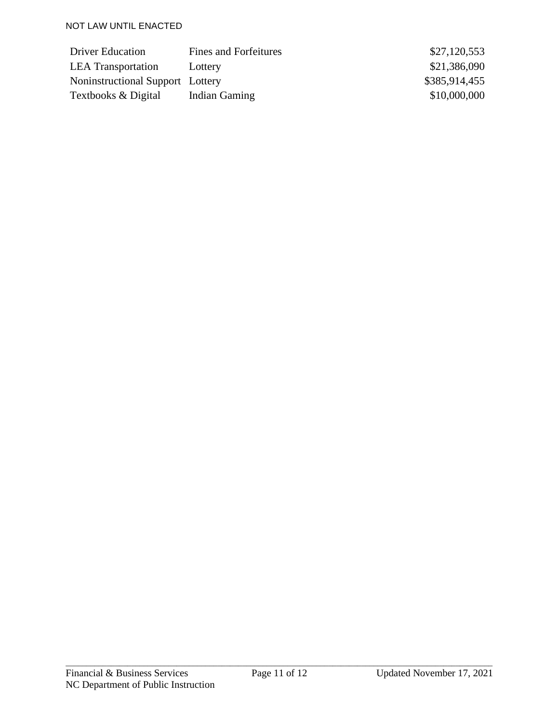| Driver Education                 | Fines and Forfeitures | \$27,120,553  |
|----------------------------------|-----------------------|---------------|
| <b>LEA</b> Transportation        | Lottery               | \$21,386,090  |
| Noninstructional Support Lottery |                       | \$385,914,455 |
| Textbooks & Digital              | Indian Gaming         | \$10,000,000  |